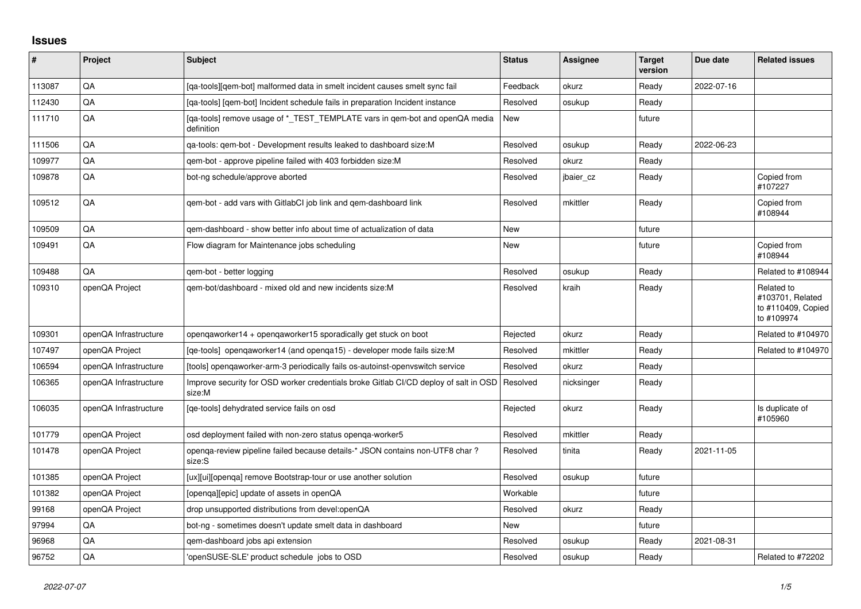## **Issues**

| #      | Project               | <b>Subject</b>                                                                                 | <b>Status</b> | <b>Assignee</b> | <b>Target</b><br>version | Due date   | <b>Related issues</b>                                              |
|--------|-----------------------|------------------------------------------------------------------------------------------------|---------------|-----------------|--------------------------|------------|--------------------------------------------------------------------|
| 113087 | QA                    | [ga-tools][gem-bot] malformed data in smelt incident causes smelt sync fail                    | Feedback      | okurz           | Ready                    | 2022-07-16 |                                                                    |
| 112430 | QA                    | [ga-tools] [gem-bot] Incident schedule fails in preparation Incident instance                  | Resolved      | osukup          | Ready                    |            |                                                                    |
| 111710 | QA                    | [qa-tools] remove usage of *_TEST_TEMPLATE vars in qem-bot and openQA media<br>definition      | New           |                 | future                   |            |                                                                    |
| 111506 | QA                    | ga-tools: gem-bot - Development results leaked to dashboard size: M                            | Resolved      | osukup          | Ready                    | 2022-06-23 |                                                                    |
| 109977 | QA                    | gem-bot - approve pipeline failed with 403 forbidden size:M                                    | Resolved      | okurz           | Ready                    |            |                                                                    |
| 109878 | QA                    | bot-ng schedule/approve aborted                                                                | Resolved      | jbaier cz       | Ready                    |            | Copied from<br>#107227                                             |
| 109512 | QA                    | qem-bot - add vars with GitlabCI job link and qem-dashboard link                               | Resolved      | mkittler        | Ready                    |            | Copied from<br>#108944                                             |
| 109509 | QA                    | gem-dashboard - show better info about time of actualization of data                           | <b>New</b>    |                 | future                   |            |                                                                    |
| 109491 | QA                    | Flow diagram for Maintenance jobs scheduling                                                   | New           |                 | future                   |            | Copied from<br>#108944                                             |
| 109488 | QA                    | gem-bot - better logging                                                                       | Resolved      | osukup          | Ready                    |            | Related to #108944                                                 |
| 109310 | openQA Project        | gem-bot/dashboard - mixed old and new incidents size:M                                         | Resolved      | kraih           | Ready                    |            | Related to<br>#103701, Related<br>to #110409, Copied<br>to #109974 |
| 109301 | openQA Infrastructure | opengaworker14 + opengaworker15 sporadically get stuck on boot                                 | Rejected      | okurz           | Ready                    |            | Related to #104970                                                 |
| 107497 | openQA Project        | [qe-tools] opengaworker14 (and openga15) - developer mode fails size: M                        | Resolved      | mkittler        | Ready                    |            | Related to #104970                                                 |
| 106594 | openQA Infrastructure | [tools] opengaworker-arm-3 periodically fails os-autoinst-openvswitch service                  | Resolved      | okurz           | Ready                    |            |                                                                    |
| 106365 | openQA Infrastructure | Improve security for OSD worker credentials broke Gitlab CI/CD deploy of salt in OSD<br>size:M | Resolved      | nicksinger      | Ready                    |            |                                                                    |
| 106035 | openQA Infrastructure | [ge-tools] dehydrated service fails on osd                                                     | Rejected      | okurz           | Ready                    |            | Is duplicate of<br>#105960                                         |
| 101779 | openQA Project        | osd deployment failed with non-zero status openga-worker5                                      | Resolved      | mkittler        | Ready                    |            |                                                                    |
| 101478 | openQA Project        | openga-review pipeline failed because details-* JSON contains non-UTF8 char?<br>size:S         | Resolved      | tinita          | Ready                    | 2021-11-05 |                                                                    |
| 101385 | openQA Project        | [ux][ui][openga] remove Bootstrap-tour or use another solution                                 | Resolved      | osukup          | future                   |            |                                                                    |
| 101382 | openQA Project        | [openga][epic] update of assets in openQA                                                      | Workable      |                 | future                   |            |                                                                    |
| 99168  | openQA Project        | drop unsupported distributions from devel:openQA                                               | Resolved      | okurz           | Ready                    |            |                                                                    |
| 97994  | QA                    | bot-ng - sometimes doesn't update smelt data in dashboard                                      | New           |                 | future                   |            |                                                                    |
| 96968  | QA                    | qem-dashboard jobs api extension                                                               | Resolved      | osukup          | Ready                    | 2021-08-31 |                                                                    |
| 96752  | QA                    | 'openSUSE-SLE' product schedule jobs to OSD                                                    | Resolved      | osukup          | Ready                    |            | Related to #72202                                                  |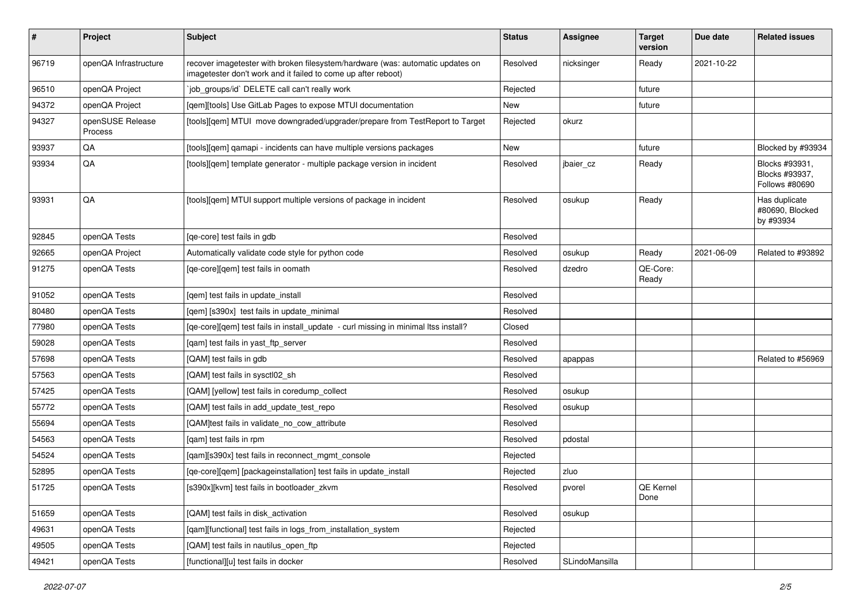| #     | Project                     | Subject                                                                                                                                         | <b>Status</b> | Assignee       | <b>Target</b><br>version | Due date   | <b>Related issues</b>                              |
|-------|-----------------------------|-------------------------------------------------------------------------------------------------------------------------------------------------|---------------|----------------|--------------------------|------------|----------------------------------------------------|
| 96719 | openQA Infrastructure       | recover imagetester with broken filesystem/hardware (was: automatic updates on<br>imagetester don't work and it failed to come up after reboot) | Resolved      | nicksinger     | Ready                    | 2021-10-22 |                                                    |
| 96510 | openQA Project              | job_groups/id` DELETE call can't really work                                                                                                    | Rejected      |                | future                   |            |                                                    |
| 94372 | openQA Project              | [qem][tools] Use GitLab Pages to expose MTUI documentation                                                                                      | New           |                | future                   |            |                                                    |
| 94327 | openSUSE Release<br>Process | [tools][qem] MTUI move downgraded/upgrader/prepare from TestReport to Target                                                                    | Rejected      | okurz          |                          |            |                                                    |
| 93937 | QA                          | [tools][gem] gamapi - incidents can have multiple versions packages                                                                             | New           |                | future                   |            | Blocked by #93934                                  |
| 93934 | QA                          | [tools][qem] template generator - multiple package version in incident                                                                          | Resolved      | jbaier_cz      | Ready                    |            | Blocks #93931,<br>Blocks #93937,<br>Follows #80690 |
| 93931 | QA                          | [tools][qem] MTUI support multiple versions of package in incident                                                                              | Resolved      | osukup         | Ready                    |            | Has duplicate<br>#80690, Blocked<br>by #93934      |
| 92845 | openQA Tests                | [ge-core] test fails in gdb                                                                                                                     | Resolved      |                |                          |            |                                                    |
| 92665 | openQA Project              | Automatically validate code style for python code                                                                                               | Resolved      | osukup         | Ready                    | 2021-06-09 | Related to #93892                                  |
| 91275 | openQA Tests                | [qe-core][qem] test fails in oomath                                                                                                             | Resolved      | dzedro         | QE-Core:<br>Ready        |            |                                                    |
| 91052 | openQA Tests                | [gem] test fails in update install                                                                                                              | Resolved      |                |                          |            |                                                    |
| 80480 | openQA Tests                | [qem] [s390x] test fails in update_minimal                                                                                                      | Resolved      |                |                          |            |                                                    |
| 77980 | openQA Tests                | [ge-core][gem] test fails in install update - curl missing in minimal ltss install?                                                             | Closed        |                |                          |            |                                                    |
| 59028 | openQA Tests                | [gam] test fails in yast ftp server                                                                                                             | Resolved      |                |                          |            |                                                    |
| 57698 | openQA Tests                | [QAM] test fails in gdb                                                                                                                         | Resolved      | apappas        |                          |            | Related to #56969                                  |
| 57563 | openQA Tests                | [QAM] test fails in sysctl02_sh                                                                                                                 | Resolved      |                |                          |            |                                                    |
| 57425 | openQA Tests                | [QAM] [yellow] test fails in coredump collect                                                                                                   | Resolved      | osukup         |                          |            |                                                    |
| 55772 | openQA Tests                | [QAM] test fails in add_update_test_repo                                                                                                        | Resolved      | osukup         |                          |            |                                                    |
| 55694 | openQA Tests                | [QAM]test fails in validate_no_cow_attribute                                                                                                    | Resolved      |                |                          |            |                                                    |
| 54563 | openQA Tests                | [qam] test fails in rpm                                                                                                                         | Resolved      | pdostal        |                          |            |                                                    |
| 54524 | openQA Tests                | [qam][s390x] test fails in reconnect_mgmt_console                                                                                               | Rejected      |                |                          |            |                                                    |
| 52895 | openQA Tests                | [qe-core][qem] [packageinstallation] test fails in update_install                                                                               | Rejected      | zluo           |                          |            |                                                    |
| 51725 | openQA Tests                | [s390x][kvm] test fails in bootloader_zkvm                                                                                                      | Resolved      | pvorel         | QE Kernel<br>Done        |            |                                                    |
| 51659 | openQA Tests                | [QAM] test fails in disk activation                                                                                                             | Resolved      | osukup         |                          |            |                                                    |
| 49631 | openQA Tests                | [gam][functional] test fails in logs_from_installation_system                                                                                   | Rejected      |                |                          |            |                                                    |
| 49505 | openQA Tests                | [QAM] test fails in nautilus_open_ftp                                                                                                           | Rejected      |                |                          |            |                                                    |
| 49421 | openQA Tests                | [functional][u] test fails in docker                                                                                                            | Resolved      | SLindoMansilla |                          |            |                                                    |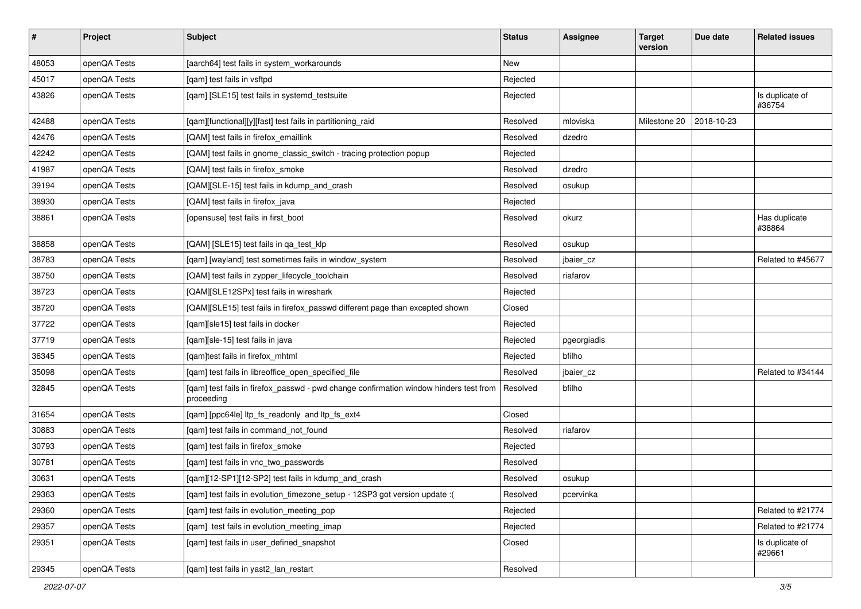| $\vert$ # | Project      | <b>Subject</b>                                                                                      | <b>Status</b> | Assignee    | <b>Target</b><br>version | Due date   | <b>Related issues</b>     |
|-----------|--------------|-----------------------------------------------------------------------------------------------------|---------------|-------------|--------------------------|------------|---------------------------|
| 48053     | openQA Tests | [aarch64] test fails in system_workarounds                                                          | <b>New</b>    |             |                          |            |                           |
| 45017     | openQA Tests | [gam] test fails in vsftpd                                                                          | Rejected      |             |                          |            |                           |
| 43826     | openQA Tests | [qam] [SLE15] test fails in systemd_testsuite                                                       | Rejected      |             |                          |            | Is duplicate of<br>#36754 |
| 42488     | openQA Tests | [qam][functional][y][fast] test fails in partitioning_raid                                          | Resolved      | mloviska    | Milestone 20             | 2018-10-23 |                           |
| 42476     | openQA Tests | [QAM] test fails in firefox_emaillink                                                               | Resolved      | dzedro      |                          |            |                           |
| 42242     | openQA Tests | [QAM] test fails in gnome_classic_switch - tracing protection popup                                 | Rejected      |             |                          |            |                           |
| 41987     | openQA Tests | [QAM] test fails in firefox_smoke                                                                   | Resolved      | dzedro      |                          |            |                           |
| 39194     | openQA Tests | [QAM][SLE-15] test fails in kdump_and_crash                                                         | Resolved      | osukup      |                          |            |                           |
| 38930     | openQA Tests | [QAM] test fails in firefox_java                                                                    | Rejected      |             |                          |            |                           |
| 38861     | openQA Tests | [opensuse] test fails in first_boot                                                                 | Resolved      | okurz       |                          |            | Has duplicate<br>#38864   |
| 38858     | openQA Tests | [QAM] [SLE15] test fails in qa_test_klp                                                             | Resolved      | osukup      |                          |            |                           |
| 38783     | openQA Tests | [qam] [wayland] test sometimes fails in window_system                                               | Resolved      | jbaier_cz   |                          |            | Related to #45677         |
| 38750     | openQA Tests | [QAM] test fails in zypper_lifecycle_toolchain                                                      | Resolved      | riafarov    |                          |            |                           |
| 38723     | openQA Tests | [QAM][SLE12SPx] test fails in wireshark                                                             | Rejected      |             |                          |            |                           |
| 38720     | openQA Tests | [QAM][SLE15] test fails in firefox_passwd different page than excepted shown                        | Closed        |             |                          |            |                           |
| 37722     | openQA Tests | [gam][sle15] test fails in docker                                                                   | Rejected      |             |                          |            |                           |
| 37719     | openQA Tests | [qam][sle-15] test fails in java                                                                    | Rejected      | pgeorgiadis |                          |            |                           |
| 36345     | openQA Tests | [qam]test fails in firefox_mhtml                                                                    | Rejected      | bfilho      |                          |            |                           |
| 35098     | openQA Tests | [qam] test fails in libreoffice_open_specified_file                                                 | Resolved      | jbaier_cz   |                          |            | Related to #34144         |
| 32845     | openQA Tests | [qam] test fails in firefox_passwd - pwd change confirmation window hinders test from<br>proceeding | Resolved      | bfilho      |                          |            |                           |
| 31654     | openQA Tests | [qam] [ppc64le] ltp_fs_readonly and ltp_fs_ext4                                                     | Closed        |             |                          |            |                           |
| 30883     | openQA Tests | [qam] test fails in command_not_found                                                               | Resolved      | riafarov    |                          |            |                           |
| 30793     | openQA Tests | [qam] test fails in firefox_smoke                                                                   | Rejected      |             |                          |            |                           |
| 30781     | openQA Tests | [qam] test fails in vnc_two_passwords                                                               | Resolved      |             |                          |            |                           |
| 30631     | openQA Tests | [qam][12-SP1][12-SP2] test fails in kdump_and_crash                                                 | Resolved      | osukup      |                          |            |                           |
| 29363     | openQA Tests | [qam] test fails in evolution_timezone_setup - 12SP3 got version update :(                          | Resolved      | pcervinka   |                          |            |                           |
| 29360     | openQA Tests | [qam] test fails in evolution_meeting_pop                                                           | Rejected      |             |                          |            | Related to #21774         |
| 29357     | openQA Tests | [qam] test fails in evolution_meeting_imap                                                          | Rejected      |             |                          |            | Related to #21774         |
| 29351     | openQA Tests | [qam] test fails in user_defined_snapshot                                                           | Closed        |             |                          |            | Is duplicate of<br>#29661 |
| 29345     | openQA Tests | [qam] test fails in yast2_lan_restart                                                               | Resolved      |             |                          |            |                           |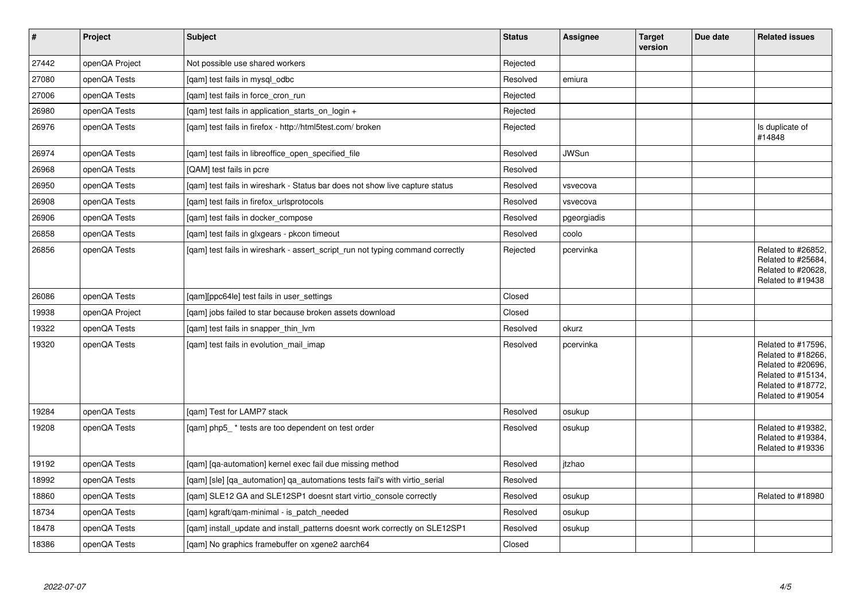| $\vert$ # | Project        | <b>Subject</b>                                                                 | <b>Status</b> | Assignee     | <b>Target</b><br>version | Due date | <b>Related issues</b>                                                                                                           |
|-----------|----------------|--------------------------------------------------------------------------------|---------------|--------------|--------------------------|----------|---------------------------------------------------------------------------------------------------------------------------------|
| 27442     | openQA Project | Not possible use shared workers                                                | Rejected      |              |                          |          |                                                                                                                                 |
| 27080     | openQA Tests   | [gam] test fails in mysgl odbc                                                 | Resolved      | emiura       |                          |          |                                                                                                                                 |
| 27006     | openQA Tests   | [gam] test fails in force cron run                                             | Rejected      |              |                          |          |                                                                                                                                 |
| 26980     | openQA Tests   | [gam] test fails in application starts on login +                              | Rejected      |              |                          |          |                                                                                                                                 |
| 26976     | openQA Tests   | [gam] test fails in firefox - http://html5test.com/ broken                     | Rejected      |              |                          |          | Is duplicate of<br>#14848                                                                                                       |
| 26974     | openQA Tests   | [qam] test fails in libreoffice_open_specified_file                            | Resolved      | <b>JWSun</b> |                          |          |                                                                                                                                 |
| 26968     | openQA Tests   | [QAM] test fails in pcre                                                       | Resolved      |              |                          |          |                                                                                                                                 |
| 26950     | openQA Tests   | [qam] test fails in wireshark - Status bar does not show live capture status   | Resolved      | vsvecova     |                          |          |                                                                                                                                 |
| 26908     | openQA Tests   | [gam] test fails in firefox urlsprotocols                                      | Resolved      | vsvecova     |                          |          |                                                                                                                                 |
| 26906     | openQA Tests   | [qam] test fails in docker_compose                                             | Resolved      | pgeorgiadis  |                          |          |                                                                                                                                 |
| 26858     | openQA Tests   | [gam] test fails in glxgears - pkcon timeout                                   | Resolved      | coolo        |                          |          |                                                                                                                                 |
| 26856     | openQA Tests   | [gam] test fails in wireshark - assert script run not typing command correctly | Rejected      | pcervinka    |                          |          | Related to #26852,<br>Related to #25684,<br>Related to #20628,<br>Related to #19438                                             |
| 26086     | openQA Tests   | [qam][ppc64le] test fails in user_settings                                     | Closed        |              |                          |          |                                                                                                                                 |
| 19938     | openQA Project | [gam] jobs failed to star because broken assets download                       | Closed        |              |                          |          |                                                                                                                                 |
| 19322     | openQA Tests   | [gam] test fails in snapper thin lym                                           | Resolved      | okurz        |                          |          |                                                                                                                                 |
| 19320     | openQA Tests   | [gam] test fails in evolution mail imap                                        | Resolved      | pcervinka    |                          |          | Related to #17596,<br>Related to #18266,<br>Related to #20696,<br>Related to #15134,<br>Related to #18772,<br>Related to #19054 |
| 19284     | openQA Tests   | [gam] Test for LAMP7 stack                                                     | Resolved      | osukup       |                          |          |                                                                                                                                 |
| 19208     | openQA Tests   | [qam] php5_* tests are too dependent on test order                             | Resolved      | osukup       |                          |          | Related to #19382,<br>Related to #19384,<br>Related to #19336                                                                   |
| 19192     | openQA Tests   | [qam] [qa-automation] kernel exec fail due missing method                      | Resolved      | itzhao       |                          |          |                                                                                                                                 |
| 18992     | openQA Tests   | [qam] [sle] [qa_automation] qa_automations tests fail's with virtio_serial     | Resolved      |              |                          |          |                                                                                                                                 |
| 18860     | openQA Tests   | [gam] SLE12 GA and SLE12SP1 doesnt start virtio console correctly              | Resolved      | osukup       |                          |          | Related to #18980                                                                                                               |
| 18734     | openQA Tests   | [gam] kgraft/gam-minimal - is patch needed                                     | Resolved      | osukup       |                          |          |                                                                                                                                 |
| 18478     | openQA Tests   | [qam] install_update and install_patterns doesnt work correctly on SLE12SP1    | Resolved      | osukup       |                          |          |                                                                                                                                 |
| 18386     | openQA Tests   | [qam] No graphics framebuffer on xgene2 aarch64                                | Closed        |              |                          |          |                                                                                                                                 |